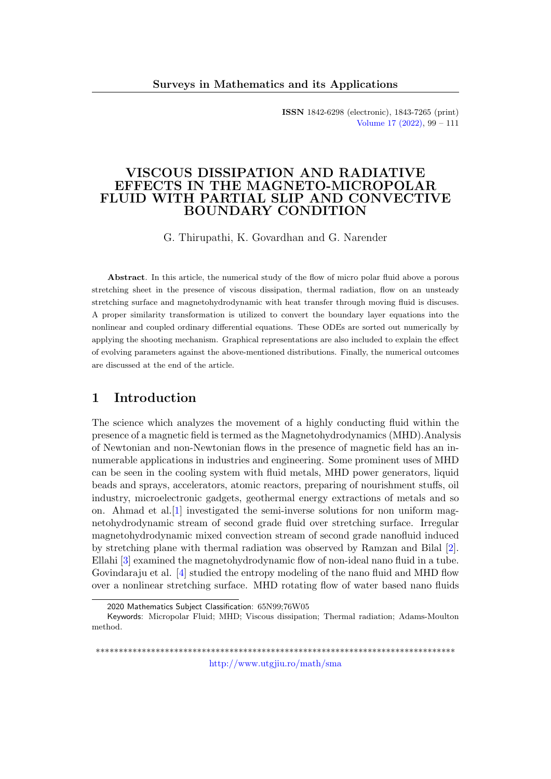ISSN 1842-6298 (electronic), 1843-7265 (print) [Volume 17 \(2022\),](http://www.utgjiu.ro/math/sma/v17/v17.html) 99 – 111

## VISCOUS DISSIPATION AND RADIATIVE EFFECTS IN THE MAGNETO-MICROPOLAR FLUID WITH PARTIAL SLIP AND CONVECTIVE BOUNDARY CONDITION

G. Thirupathi, K. Govardhan and G. Narender

Abstract. In this article, the numerical study of the flow of micro polar fluid above a porous stretching sheet in the presence of viscous dissipation, thermal radiation, flow on an unsteady stretching surface and magnetohydrodynamic with heat transfer through moving fluid is discuses. A proper similarity transformation is utilized to convert the boundary layer equations into the nonlinear and coupled ordinary differential equations. These ODEs are sorted out numerically by applying the shooting mechanism. Graphical representations are also included to explain the effect of evolving parameters against the above-mentioned distributions. Finally, the numerical outcomes are discussed at the end of the article.

## 1 Introduction

The science which analyzes the movement of a highly conducting fluid within the presence of a magnetic field is termed as the Magnetohydrodynamics (MHD).Analysis of Newtonian and non-Newtonian flows in the presence of magnetic field has an innumerable applications in industries and engineering. Some prominent uses of MHD can be seen in the cooling system with fluid metals, MHD power generators, liquid beads and sprays, accelerators, atomic reactors, preparing of nourishment stuffs, oil industry, microelectronic gadgets, geothermal energy extractions of metals and so on. Ahmad et al.[\[1\]](#page-10-0) investigated the semi-inverse solutions for non uniform magnetohydrodynamic stream of second grade fluid over stretching surface. Irregular magnetohydrodynamic mixed convection stream of second grade nanofluid induced by stretching plane with thermal radiation was observed by Ramzan and Bilal [\[2\]](#page-10-1). Ellahi [\[3\]](#page-10-2) examined the magnetohydrodynamic flow of non-ideal nano fluid in a tube. Govindaraju et al. [\[4\]](#page-10-3) studied the entropy modeling of the nano fluid and MHD flow over a nonlinear stretching surface. MHD rotating flow of water based nano fluids

\*\*\*\*\*\*\*\*\*\*\*\*\*\*\*\*\*\*\*\*\*\*\*\*\*\*\*\*\*\*\*\*\*\*\*\*\*\*\*\*\*\*\*\*\*\*\*\*\*\*\*\*\*\*\*\*\*\*\*\*\*\*\*\*\*\*\*\*\*\*\*\*\*\*\*\*\*\* <http://www.utgjiu.ro/math/sma>

<sup>2020</sup> Mathematics Subject Classification: 65N99;76W05

Keywords: Micropolar Fluid; MHD; Viscous dissipation; Thermal radiation; Adams-Moulton method.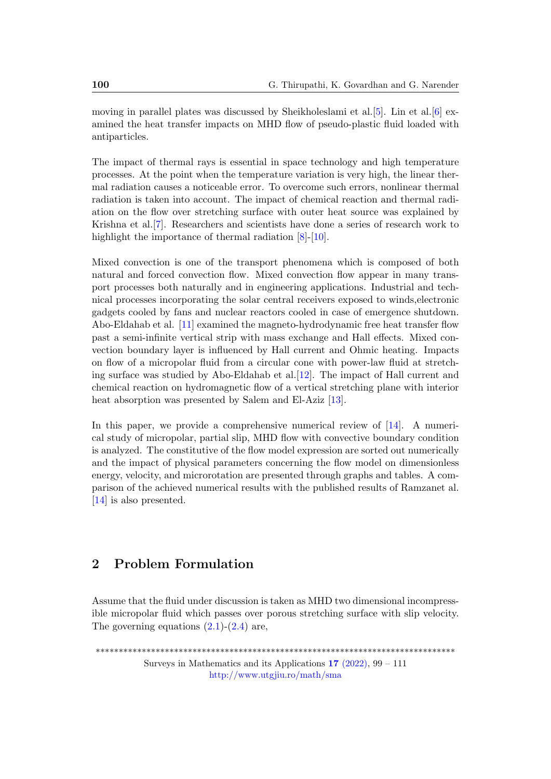moving in parallel plates was discussed by Sheikholeslami et al.[\[5\]](#page-11-0). Lin et al.[\[6\]](#page-11-1) examined the heat transfer impacts on MHD flow of pseudo-plastic fluid loaded with antiparticles.

The impact of thermal rays is essential in space technology and high temperature processes. At the point when the temperature variation is very high, the linear thermal radiation causes a noticeable error. To overcome such errors, nonlinear thermal radiation is taken into account. The impact of chemical reaction and thermal radiation on the flow over stretching surface with outer heat source was explained by Krishna et al.[\[7\]](#page-11-2). Researchers and scientists have done a series of research work to highlight the importance of thermal radiation  $[8]-[10]$  $[8]-[10]$  $[8]-[10]$ .

Mixed convection is one of the transport phenomena which is composed of both natural and forced convection flow. Mixed convection flow appear in many transport processes both naturally and in engineering applications. Industrial and technical processes incorporating the solar central receivers exposed to winds,electronic gadgets cooled by fans and nuclear reactors cooled in case of emergence shutdown. Abo-Eldahab et al. [\[11\]](#page-11-5) examined the magneto-hydrodynamic free heat transfer flow past a semi-infinite vertical strip with mass exchange and Hall effects. Mixed convection boundary layer is influenced by Hall current and Ohmic heating. Impacts on flow of a micropolar fluid from a circular cone with power-law fluid at stretching surface was studied by Abo-Eldahab et al.[\[12\]](#page-11-6). The impact of Hall current and chemical reaction on hydromagnetic flow of a vertical stretching plane with interior heat absorption was presented by Salem and El-Aziz [\[13\]](#page-11-7).

In this paper, we provide a comprehensive numerical review of [\[14\]](#page-11-8). A numerical study of micropolar, partial slip, MHD flow with convective boundary condition is analyzed. The constitutive of the flow model expression are sorted out numerically and the impact of physical parameters concerning the flow model on dimensionless energy, velocity, and microrotation are presented through graphs and tables. A comparison of the achieved numerical results with the published results of Ramzanet al. [\[14\]](#page-11-8) is also presented.

# 2 Problem Formulation

Assume that the fluid under discussion is taken as MHD two dimensional incompressible micropolar fluid which passes over porous stretching surface with slip velocity. The governing equations  $(2.1)-(2.4)$  $(2.1)-(2.4)$  $(2.1)-(2.4)$  are,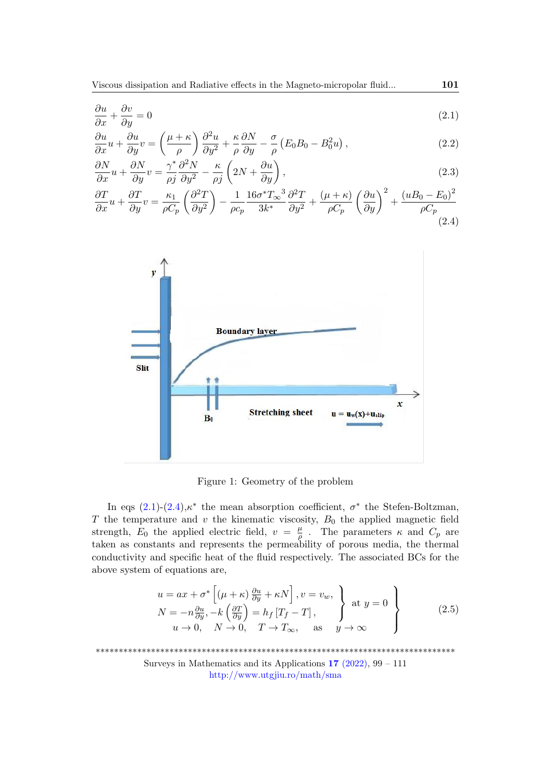<span id="page-2-0"></span>
$$
\frac{\partial u}{\partial x} + \frac{\partial v}{\partial y} = 0\tag{2.1}
$$

$$
\frac{\partial u}{\partial x}u + \frac{\partial u}{\partial y}v = \left(\frac{\mu + \kappa}{\rho}\right)\frac{\partial^2 u}{\partial y^2} + \frac{\kappa}{\rho}\frac{\partial N}{\partial y} - \frac{\sigma}{\rho}\left(E_0B_0 - B_0^2u\right),\tag{2.2}
$$

$$
\frac{\partial N}{\partial x}u + \frac{\partial N}{\partial y}v = \frac{\gamma^*}{\rho j}\frac{\partial^2 N}{\partial y^2} - \frac{\kappa}{\rho j}\left(2N + \frac{\partial u}{\partial y}\right),\tag{2.3}
$$

$$
\frac{\partial T}{\partial x}u + \frac{\partial T}{\partial y}v = \frac{\kappa_1}{\rho C_p} \left(\frac{\partial^2 T}{\partial y^2}\right) - \frac{1}{\rho c_p} \frac{16\sigma^* T_\infty^3}{3k^*} \frac{\partial^2 T}{\partial y^2} + \frac{(\mu + \kappa)}{\rho C_p} \left(\frac{\partial u}{\partial y}\right)^2 + \frac{(uB_0 - E_0)^2}{\rho C_p} \tag{2.4}
$$

<span id="page-2-1"></span>

Figure 1: Geometry of the problem

In eqs  $(2.1)-(2.4)$  $(2.1)-(2.4)$  $(2.1)-(2.4)$ ,  $\kappa^*$  the mean absorption coefficient,  $\sigma^*$  the Stefen-Boltzman,  $T$  the temperature and  $v$  the kinematic viscosity,  $B_0$  the applied magnetic field strength,  $E_0$  the applied electric field,  $v = \frac{\mu}{\rho}$  $\frac{\mu}{\rho}$ . The parameters  $\kappa$  and  $C_p$  are taken as constants and represents the permeability of porous media, the thermal conductivity and specific heat of the fluid respectively. The associated BCs for the above system of equations are,

$$
u = ax + \sigma^* \left[ (\mu + \kappa) \frac{\partial u}{\partial y} + \kappa N \right], v = v_w, N = -n \frac{\partial u}{\partial y}, -k \left( \frac{\partial T}{\partial y} \right) = h_f \left[ T_f - T \right], u \to 0, N \to 0, T \to T_\infty, \text{ as } y \to \infty
$$
 (2.5)

\*\*\*\*\*\*\*\*\*\*\*\*\*\*\*\*\*\*\*\*\*\*\*\*\*\*\*\*\*\*\*\*\*\*\*\*\*\*\*\*\*\*\*\*\*\*\*\*\*\*\*\*\*\*\*\*\*\*\*\*\*\*\*\*\*\*\*\*\*\*\*\*\*\*\*\*\*\*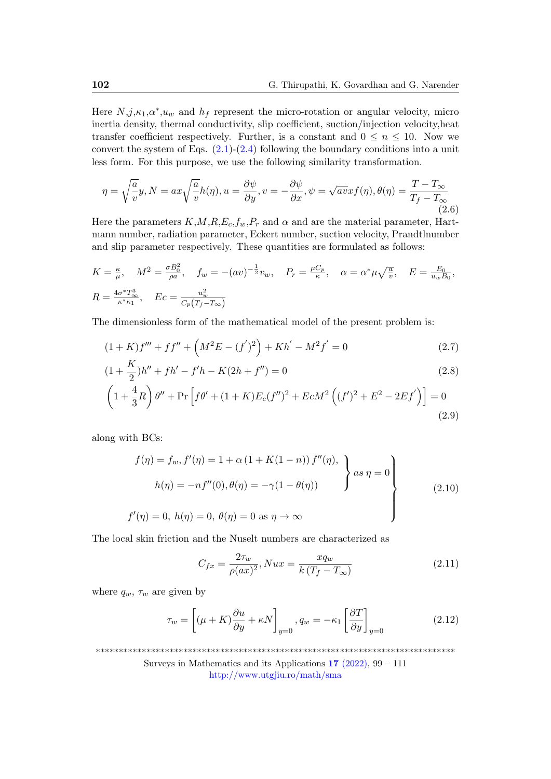Here  $N, j, \kappa_1, \alpha^*, u_w$  and  $h_f$  represent the micro-rotation or angular velocity, micro inertia density, thermal conductivity, slip coefficient, suction/injection velocity,heat transfer coefficient respectively. Further, is a constant and  $0 \leq n \leq 10$ . Now we convert the system of Eqs.  $(2.1)-(2.4)$  $(2.1)-(2.4)$  $(2.1)-(2.4)$  following the boundary conditions into a unit less form. For this purpose, we use the following similarity transformation.

$$
\eta = \sqrt{\frac{a}{v}} y, N = ax \sqrt{\frac{a}{v}} h(\eta), u = \frac{\partial \psi}{\partial y}, v = -\frac{\partial \psi}{\partial x}, \psi = \sqrt{av} x f(\eta), \theta(\eta) = \frac{T - T_{\infty}}{T_f - T_{\infty}}
$$
(2.6)

Here the parameters  $K, M, R, E_c, f_w, P_r$  and  $\alpha$  and are the material parameter, Hartmann number, radiation parameter, Eckert number, suction velocity, Prandtlnumber and slip parameter respectively. These quantities are formulated as follows:

$$
K = \frac{\kappa}{\mu}, \quad M^2 = \frac{\sigma B_0^2}{\rho a}, \quad f_w = -(av)^{-\frac{1}{2}} v_w, \quad P_r = \frac{\mu C_p}{\kappa}, \quad \alpha = \alpha^* \mu \sqrt{\frac{a}{v}}, \quad E = \frac{E_0}{u_w B_0},
$$
  

$$
R = \frac{4\sigma^* T_\infty^3}{\kappa^* \kappa_1}, \quad Ec = \frac{u_w^2}{C_p (T_f - T_\infty)}
$$

The dimensionless form of the mathematical model of the present problem is:

$$
(1+K)f''' + ff'' + \left(M^2E - (f')^2\right) + Kh' - M^2f' = 0
$$
\n<sup>(2.7)</sup>

$$
(1 + \frac{K}{2})h'' + fh' - f'h - K(2h + f'') = 0
$$
\n(2.8)

$$
\left(1+\frac{4}{3}R\right)\theta'' + \Pr\left[f\theta' + (1+K)E_c(f'')^2 + EcM^2\left((f')^2 + E^2 - 2Ef'\right)\right] = 0
$$
\n(2.9)

along with BCs:

<span id="page-3-2"></span>
$$
f(\eta) = f_w, f'(\eta) = 1 + \alpha (1 + K(1 - n)) f''(\eta),
$$
  
\n
$$
h(\eta) = -nf''(0), \theta(\eta) = -\gamma (1 - \theta(\eta))
$$
  
\n
$$
f'(\eta) = 0, h(\eta) = 0, \theta(\eta) = 0 \text{ as } \eta \to \infty
$$
\n(2.10)

The local skin friction and the Nuselt numbers are characterized as

<span id="page-3-1"></span><span id="page-3-0"></span>
$$
C_{fx} = \frac{2\tau_w}{\rho(ax)^2}, Nux = \frac{xq_w}{k(T_f - T_\infty)}
$$
\n(2.11)

where  $q_w$ ,  $\tau_w$  are given by

$$
\tau_w = \left[ (\mu + K) \frac{\partial u}{\partial y} + \kappa N \right]_{y=0}, q_w = -\kappa_1 \left[ \frac{\partial T}{\partial y} \right]_{y=0} \tag{2.12}
$$

\*\*\*\*\*\*\*\*\*\*\*\*\*\*\*\*\*\*\*\*\*\*\*\*\*\*\*\*\*\*\*\*\*\*\*\*\*\*\*\*\*\*\*\*\*\*\*\*\*\*\*\*\*\*\*\*\*\*\*\*\*\*\*\*\*\*\*\*\*\*\*\*\*\*\*\*\*\*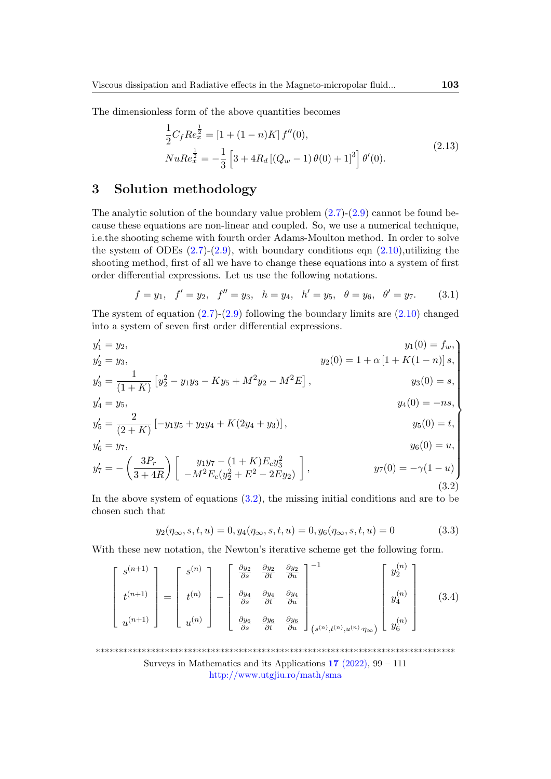The dimensionless form of the above quantities becomes

$$
\frac{1}{2}C_{f}Re_{x}^{\frac{1}{2}} = [1 + (1 - n)K] f''(0),
$$
  
\n
$$
NuRe_{x}^{\frac{1}{2}} = -\frac{1}{3} \left[3 + 4R_{d} \left[ (Q_{w} - 1) \theta(0) + 1 \right]^{3} \right] \theta'(0).
$$
\n(2.13)

# 3 Solution methodology

The analytic solution of the boundary value problem  $(2.7)-(2.9)$  $(2.7)-(2.9)$  $(2.7)-(2.9)$  cannot be found because these equations are non-linear and coupled. So, we use a numerical technique, i.e.the shooting scheme with fourth order Adams-Moulton method. In order to solve the system of ODEs  $(2.7)-(2.9)$  $(2.7)-(2.9)$  $(2.7)-(2.9)$ , with boundary conditions eqn  $(2.10)$ ,utilizing the shooting method, first of all we have to change these equations into a system of first order differential expressions. Let us use the following notations.

$$
f = y_1
$$
,  $f' = y_2$ ,  $f'' = y_3$ ,  $h = y_4$ ,  $h' = y_5$ ,  $\theta = y_6$ ,  $\theta' = y_7$ . (3.1)

The system of equation  $(2.7)-(2.9)$  $(2.7)-(2.9)$  $(2.7)-(2.9)$  following the boundary limits are  $(2.10)$  changed into a system of seven first order differential expressions.

<span id="page-4-0"></span>
$$
y'_{1} = y_{2},
$$
  
\n
$$
y'_{2} = y_{3},
$$
  
\n
$$
y'_{3} = \frac{1}{(1+K)} [y_{2}^{2} - y_{1}y_{3} - Ky_{5} + M^{2}y_{2} - M^{2}E],
$$
  
\n
$$
y'_{4} = y_{5},
$$
  
\n
$$
y'_{5} = \frac{2}{(2+K)} [-y_{1}y_{5} + y_{2}y_{4} + K(2y_{4} + y_{3})],
$$
  
\n
$$
y'_{6} = y_{7},
$$
  
\n
$$
y'_{7} = -\left(\frac{3P_{r}}{3+4R}\right) \begin{bmatrix} y_{1}y_{7} - (1+K)E_{c}y_{3}^{2} \\ -M^{2}E_{c}(y_{2}^{2} + E^{2} - 2Ey_{2}) \end{bmatrix},
$$
  
\n
$$
y_{8}(0) = u,
$$
  
\n
$$
y_{9}(0) = -\gamma(1-u)
$$
  
\n(3.2)

In the above system of equations  $(3.2)$ , the missing initial conditions and are to be chosen such that

$$
y_2(\eta_\infty, s, t, u) = 0, y_4(\eta_\infty, s, t, u) = 0, y_6(\eta_\infty, s, t, u) = 0 \tag{3.3}
$$

With these new notation, the Newton's iterative scheme get the following form.

| $_{\rm e}$ $(n+1)$ | $s^{(n)}$ | $\frac{\partial y_2}{\partial s}$ | $\frac{\partial y_2}{\partial t}$ | $\frac{\partial y_2}{\partial u}$        |                                                | $y_2^{(n)}$                 |       |
|--------------------|-----------|-----------------------------------|-----------------------------------|------------------------------------------|------------------------------------------------|-----------------------------|-------|
| $+(n+1)$           | $t^{(n)}$ | $\frac{\partial y_4}{\partial s}$ | $\frac{\partial y_4}{\partial t}$ | $\frac{\partial y_4}{\partial u}$        |                                                | $\left( n\right)$<br>$y_4$  | (3.4) |
| $u^{(n+1)}$        | $u^{(n)}$ | $\frac{\partial y_6}{\partial s}$ | $\frac{\partial y_6}{\partial t}$ | $\frac{\partial y_6}{\partial u}$<br>-41 | $(s^{(n)}, t^{(n)}, u^{(n)}\cdot \eta_\infty)$ | (n)<br>$y_6^{\prime\prime}$ |       |

\*\*\*\*\*\*\*\*\*\*\*\*\*\*\*\*\*\*\*\*\*\*\*\*\*\*\*\*\*\*\*\*\*\*\*\*\*\*\*\*\*\*\*\*\*\*\*\*\*\*\*\*\*\*\*\*\*\*\*\*\*\*\*\*\*\*\*\*\*\*\*\*\*\*\*\*\*\*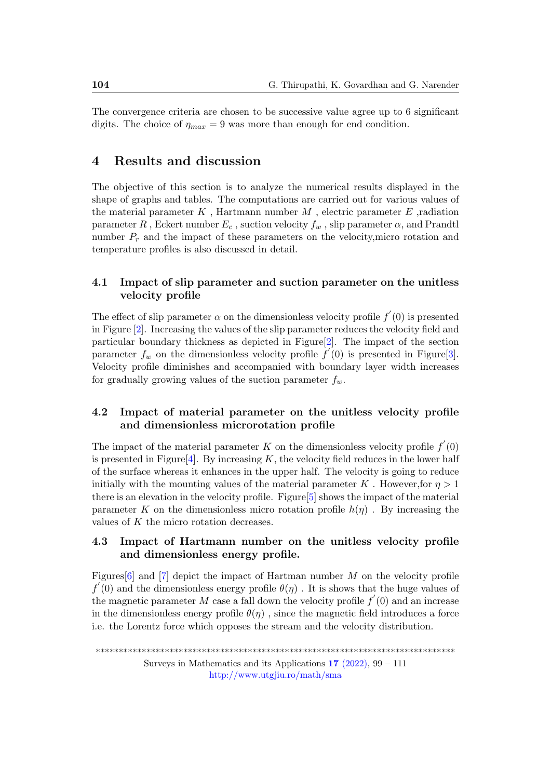The convergence criteria are chosen to be successive value agree up to 6 significant digits. The choice of  $\eta_{max} = 9$  was more than enough for end condition.

## 4 Results and discussion

The objective of this section is to analyze the numerical results displayed in the shape of graphs and tables. The computations are carried out for various values of the material parameter  $K$ , Hartmann number  $M$ , electric parameter  $E$ , radiation parameter R, Eckert number  $E_c$ , suction velocity  $f_w$ , slip parameter  $\alpha$ , and Prandtl number  $P_r$  and the impact of these parameters on the velocity, micro rotation and temperature profiles is also discussed in detail.

#### 4.1 Impact of slip parameter and suction parameter on the unitless velocity profile

The effect of slip parameter  $\alpha$  on the dimensionless velocity profile  $f'(0)$  is presented in Figure [\[2\]](#page-6-0). Increasing the values of the slip parameter reduces the velocity field and particular boundary thickness as depicted in Figure[\[2\]](#page-6-0). The impact of the section parameter  $f_w$  on the dimensionless velocity profile  $f'(0)$  is presented in Figure[\[3\]](#page-6-1). Velocity profile diminishes and accompanied with boundary layer width increases for gradually growing values of the suction parameter  $f_w$ .

#### 4.2 Impact of material parameter on the unitless velocity profile and dimensionless microrotation profile

The impact of the material parameter K on the dimensionless velocity profile  $f'(0)$ is presented in Figure<sup>[\[4\]](#page-7-0)</sup>. By increasing K, the velocity field reduces in the lower half of the surface whereas it enhances in the upper half. The velocity is going to reduce initially with the mounting values of the material parameter K. However, for  $\eta > 1$ there is an elevation in the velocity profile. Figure  $[5]$  shows the impact of the material parameter K on the dimensionless micro rotation profile  $h(\eta)$ . By increasing the values of K the micro rotation decreases.

### 4.3 Impact of Hartmann number on the unitless velocity profile and dimensionless energy profile.

Figures [\[6\]](#page-7-2) and [\[7\]](#page-8-0) depict the impact of Hartman number M on the velocity profile  $f'(0)$  and the dimensionless energy profile  $\theta(\eta)$ . It is shows that the huge values of the magnetic parameter M case a fall down the velocity profile  $f'(0)$  and an increase in the dimensionless energy profile  $\theta(\eta)$ , since the magnetic field introduces a force i.e. the Lorentz force which opposes the stream and the velocity distribution.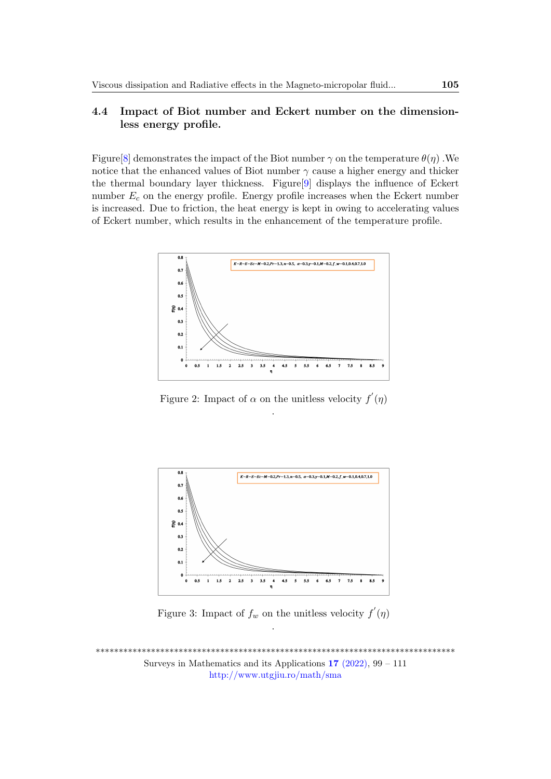#### 4.4 Impact of Biot number and Eckert number on the dimensionless energy profile.

Figure [8] demonstrates the impact of the Biot number  $\gamma$  on the temperature  $\theta(\eta)$ . We notice that the enhanced values of Biot number  $\gamma$  cause a higher energy and thicker the thermal boundary layer thickness. Figure<sup>[9]</sup> displays the influence of Eckert number  $E_c$  on the energy profile. Energy profile increases when the Eckert number is increased. Due to friction, the heat energy is kept in owing to accelerating values of Eckert number, which results in the enhancement of the temperature profile.



<span id="page-6-0"></span>Figure 2: Impact of  $\alpha$  on the unitless velocity  $f'(\eta)$ 



<span id="page-6-1"></span>Figure 3: Impact of  $f_w$  on the unitless velocity  $f'(\eta)$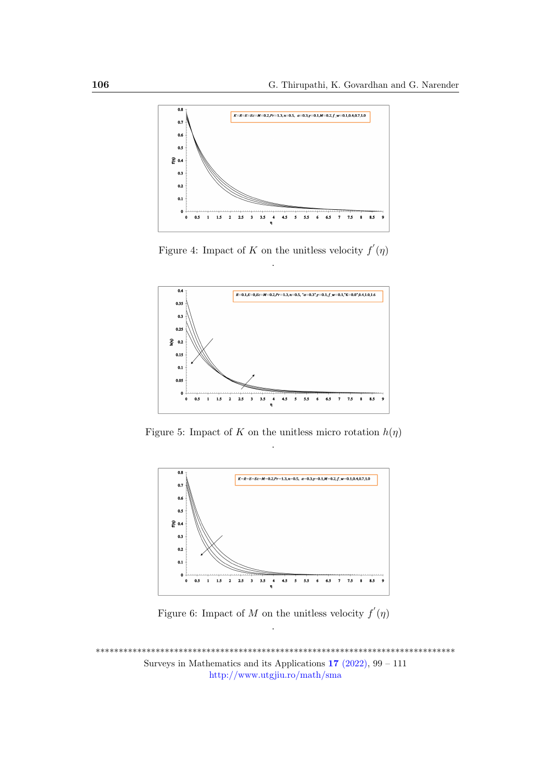

<span id="page-7-0"></span>Figure 4: Impact of K on the unitless velocity  $f'(\eta)$ 



<span id="page-7-1"></span>Figure 5: Impact of K on the unitless micro rotation  $h(\eta)$ 



<span id="page-7-2"></span>Figure 6: Impact of M on the unitless velocity  $f'(\eta)$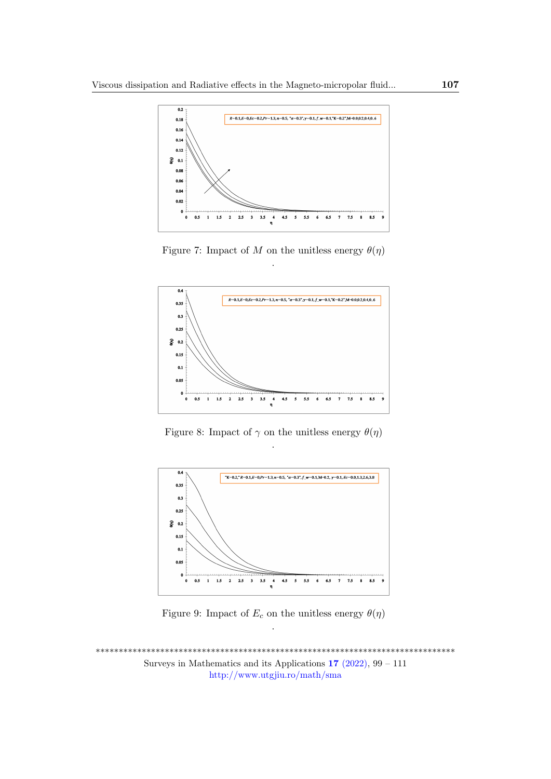

<span id="page-8-0"></span>Figure 7: Impact of M on the unitless energy  $\theta(\eta)$ 



<span id="page-8-1"></span>Figure 8: Impact of  $\gamma$  on the unitless energy  $\theta(\eta)$ 



<span id="page-8-2"></span>Figure 9: Impact of  $E_c$  on the unitless energy  $\theta(\eta)$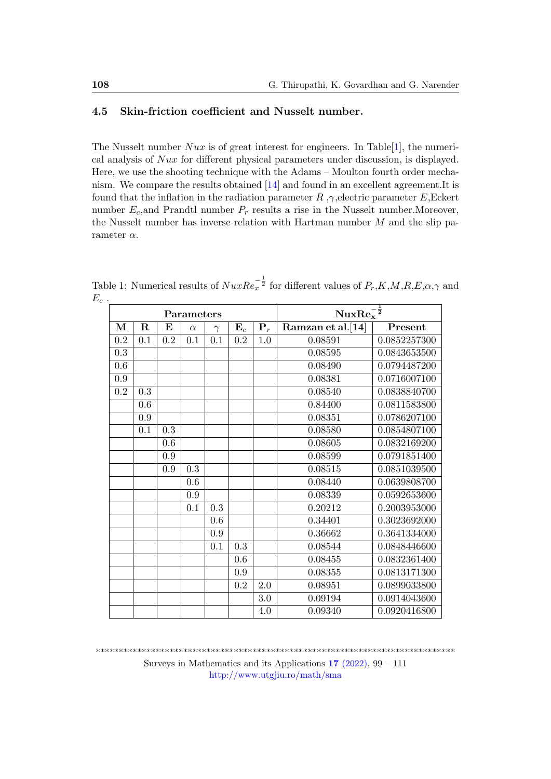#### 4.5 Skin-friction coefficient and Nusselt number.

The Nusselt number  $Nux$  is of great interest for engineers. In Table [\[1\]](#page-9-0), the numerical analysis of Nux for different physical parameters under discussion, is displayed. Here, we use the shooting technique with the Adams – Moulton fourth order mechanism. We compare the results obtained [\[14\]](#page-11-8) and found in an excellent agreement.It is found that the inflation in the radiation parameter R,  $\gamma$ , electric parameter E, Eckert number  $E_c$ , and Prandtl number  $P_r$  results a rise in the Nusselt number. Moreover, the Nusselt number has inverse relation with Hartman number  $M$  and the slip parameter  $\alpha$ .

| Parameters |             |     |          |          |                |             | $NuxRex-\frac{1}{2}$ |              |  |
|------------|-------------|-----|----------|----------|----------------|-------------|----------------------|--------------|--|
| М          | $\mathbf R$ | E   | $\alpha$ | $\gamma$ | $\mathbf{E}_c$ | ${\bf P}_r$ | Ramzan et al.[14]    | Present      |  |
| 0.2        | 0.1         | 0.2 | 0.1      | 0.1      | 0.2            | 1.0         | 0.08591              | 0.0852257300 |  |
| 0.3        |             |     |          |          |                |             | 0.08595              | 0.0843653500 |  |
| 0.6        |             |     |          |          |                |             | 0.08490              | 0.0794487200 |  |
| 0.9        |             |     |          |          |                |             | 0.08381              | 0.0716007100 |  |
| 0.2        | 0.3         |     |          |          |                |             | 0.08540              | 0.0838840700 |  |
|            | 0.6         |     |          |          |                |             | 0.84400              | 0.0811583800 |  |
|            | 0.9         |     |          |          |                |             | 0.08351              | 0.0786207100 |  |
|            | 0.1         | 0.3 |          |          |                |             | 0.08580              | 0.0854807100 |  |
|            |             | 0.6 |          |          |                |             | 0.08605              | 0.0832169200 |  |
|            |             | 0.9 |          |          |                |             | 0.08599              | 0.0791851400 |  |
|            |             | 0.9 | 0.3      |          |                |             | 0.08515              | 0.0851039500 |  |
|            |             |     | 0.6      |          |                |             | 0.08440              | 0.0639808700 |  |
|            |             |     | 0.9      |          |                |             | 0.08339              | 0.0592653600 |  |
|            |             |     | 0.1      | 0.3      |                |             | 0.20212              | 0.2003953000 |  |
|            |             |     |          | 0.6      |                |             | 0.34401              | 0.3023692000 |  |
|            |             |     |          | 0.9      |                |             | 0.36662              | 0.3641334000 |  |
|            |             |     |          | 0.1      | 0.3            |             | 0.08544              | 0.0848446600 |  |
|            |             |     |          |          | 0.6            |             | 0.08455              | 0.0832361400 |  |
|            |             |     |          |          | 0.9            |             | 0.08355              | 0.0813171300 |  |
|            |             |     |          |          | 0.2            | 2.0         | 0.08951              | 0.0899033800 |  |
|            |             |     |          |          |                | 3.0         | 0.09194              | 0.0914043600 |  |
|            |             |     |          |          |                | 4.0         | 0.09340              | 0.0920416800 |  |

<span id="page-9-0"></span>Table 1: Numerical results of  $NuxRe_x^{-\frac{1}{2}}$  for different values of  $P_r, K, M, R, E, \alpha, \gamma$  and  $E_c$ .

\*\*\*\*\*\*\*\*\*\*\*\*\*\*\*\*\*\*\*\*\*\*\*\*\*\*\*\*\*\*\*\*\*\*\*\*\*\*\*\*\*\*\*\*\*\*\*\*\*\*\*\*\*\*\*\*\*\*\*\*\*\*\*\*\*\*\*\*\*\*\*\*\*\*\*\*\*\*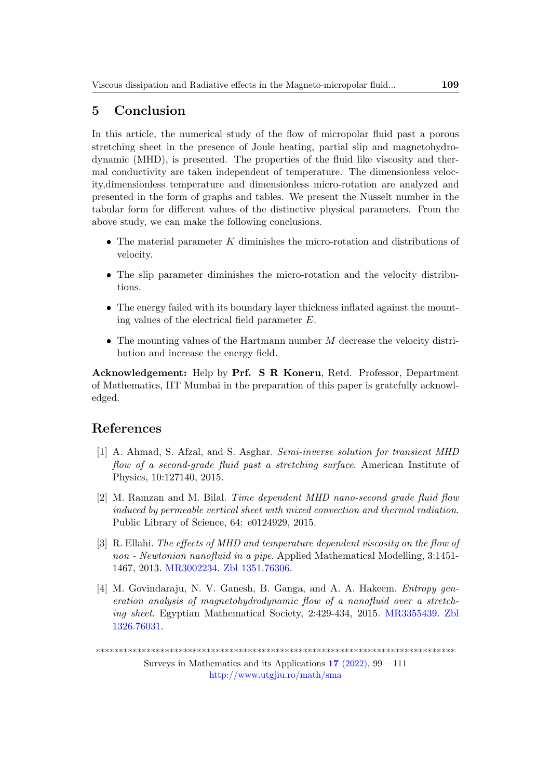# 5 Conclusion

In this article, the numerical study of the flow of micropolar fluid past a porous stretching sheet in the presence of Joule heating, partial slip and magnetohydrodynamic (MHD), is presented. The properties of the fluid like viscosity and thermal conductivity are taken independent of temperature. The dimensionless velocity,dimensionless temperature and dimensionless micro-rotation are analyzed and presented in the form of graphs and tables. We present the Nusselt number in the tabular form for different values of the distinctive physical parameters. From the above study, we can make the following conclusions.

- $\bullet$  The material parameter K diminishes the micro-rotation and distributions of velocity.
- The slip parameter diminishes the micro-rotation and the velocity distributions.
- The energy failed with its boundary layer thickness inflated against the mounting values of the electrical field parameter E.
- $\bullet$  The mounting values of the Hartmann number  $M$  decrease the velocity distribution and increase the energy field.

Acknowledgement: Help by Prf. S R Koneru, Retd. Professor, Department of Mathematics, IIT Mumbai in the preparation of this paper is gratefully acknowledged.

## References

- <span id="page-10-0"></span>[1] A. Ahmad, S. Afzal, and S. Asghar. Semi-inverse solution for transient MHD flow of a second-grade fluid past a stretching surface. American Institute of Physics, 10:127140, 2015.
- <span id="page-10-1"></span>[2] M. Ramzan and M. Bilal. Time dependent MHD nano-second grade fluid flow induced by permeable vertical sheet with mixed convection and thermal radiation. Public Library of Science, 64: e0124929, 2015.
- <span id="page-10-2"></span>[3] R. Ellahi. The effects of MHD and temperature dependent viscosity on the flow of non - Newtonian nanofluid in a pipe. Applied Mathematical Modelling, 3:1451- 1467, 2013. [MR3002234.](https://www.ams.org/mathscinet-getitem?mr=3002234) [Zbl 1351.76306.](https://zbmath.org/?q=an:1351.76306)
- <span id="page-10-3"></span>[4] M. Govindaraju, N. V. Ganesh, B. Ganga, and A. A. Hakeem. *Entropy gen*eration analysis of magnetohydrodynamic flow of a nanofluid over a stretching sheet. Egyptian Mathematical Society, 2:429-434, 2015. [MR3355439.](https://www.ams.org/mathscinet-getitem?mr=3355439) [Zbl](https://zbmath.org/?q=an:1326.76031) [1326.76031.](https://zbmath.org/?q=an:1326.76031)

\*\*\*\*\*\*\*\*\*\*\*\*\*\*\*\*\*\*\*\*\*\*\*\*\*\*\*\*\*\*\*\*\*\*\*\*\*\*\*\*\*\*\*\*\*\*\*\*\*\*\*\*\*\*\*\*\*\*\*\*\*\*\*\*\*\*\*\*\*\*\*\*\*\*\*\*\*\*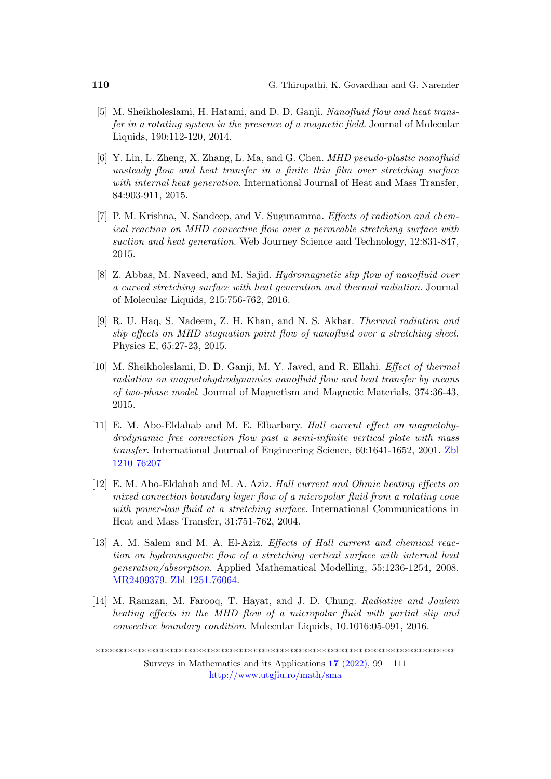- <span id="page-11-0"></span>[5] M. Sheikholeslami, H. Hatami, and D. D. Ganji. Nanofluid flow and heat transfer in a rotating system in the presence of a magnetic field. Journal of Molecular Liquids, 190:112-120, 2014.
- <span id="page-11-1"></span>[6] Y. Lin, L. Zheng, X. Zhang, L. Ma, and G. Chen. MHD pseudo-plastic nanofluid unsteady flow and heat transfer in a finite thin film over stretching surface with internal heat generation. International Journal of Heat and Mass Transfer, 84:903-911, 2015.
- <span id="page-11-2"></span>[7] P. M. Krishna, N. Sandeep, and V. Sugunamma. Effects of radiation and chemical reaction on MHD convective flow over a permeable stretching surface with suction and heat generation. Web Journey Science and Technology, 12:831-847, 2015.
- <span id="page-11-3"></span>[8] Z. Abbas, M. Naveed, and M. Sajid. Hydromagnetic slip flow of nanofluid over a curved stretching surface with heat generation and thermal radiation. Journal of Molecular Liquids, 215:756-762, 2016.
- [9] R. U. Haq, S. Nadeem, Z. H. Khan, and N. S. Akbar. Thermal radiation and slip effects on MHD stagnation point flow of nanofluid over a stretching sheet. Physics E, 65:27-23, 2015.
- <span id="page-11-4"></span>[10] M. Sheikholeslami, D. D. Ganji, M. Y. Javed, and R. Ellahi. Effect of thermal radiation on magnetohydrodynamics nanofluid flow and heat transfer by means of two-phase model. Journal of Magnetism and Magnetic Materials, 374:36-43, 2015.
- <span id="page-11-5"></span>[11] E. M. Abo-Eldahab and M. E. Elbarbary. Hall current effect on magnetohydrodynamic free convection flow past a semi-infinite vertical plate with mass transfer. International Journal of Engineering Science, 60:1641-1652, 2001. [Zbl](https://zbmath.org/?q=an:1210.76207) [1210 76207](https://zbmath.org/?q=an:1210.76207)
- <span id="page-11-6"></span>[12] E. M. Abo-Eldahab and M. A. Aziz. Hall current and Ohmic heating effects on mixed convection boundary layer flow of a micropolar fluid from a rotating cone with power-law fluid at a stretching surface. International Communications in Heat and Mass Transfer, 31:751-762, 2004.
- <span id="page-11-7"></span>[13] A. M. Salem and M. A. El-Aziz. Effects of Hall current and chemical reaction on hydromagnetic flow of a stretching vertical surface with internal heat generation/absorption. Applied Mathematical Modelling, 55:1236-1254, 2008. [MR2409379.](https://mathscinet.ams.org/mathscinet-getitem?mr=2409379) [Zbl 1251.76064.](https://zbmath.org/?q=an:1251.76064)
- <span id="page-11-8"></span>[14] M. Ramzan, M. Farooq, T. Hayat, and J. D. Chung. Radiative and Joulem heating effects in the MHD flow of a micropolar fluid with partial slip and convective boundary condition. Molecular Liquids, 10.1016:05-091, 2016.

<sup>\*\*\*\*\*\*\*\*\*\*\*\*\*\*\*\*\*\*\*\*\*\*\*\*\*\*\*\*\*\*\*\*\*\*\*\*\*\*\*\*\*\*\*\*\*\*\*\*\*\*\*\*\*\*\*\*\*\*\*\*\*\*\*\*\*\*\*\*\*\*\*\*\*\*\*\*\*\*</sup>

Surveys in Mathematics and its Applications  $17$  [\(2022\),](http://www.utgjiu.ro/math/sma/v17/v17.html) 99 – 111 <http://www.utgjiu.ro/math/sma>